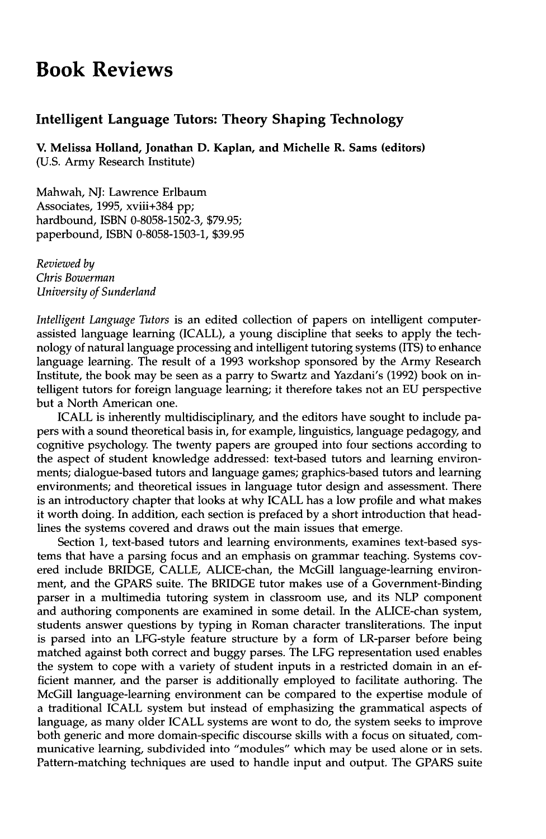## **Book Reviews**

## **Intelligent Language Tutors: Theory Shaping Technology**

**V. Melissa Holland, Jonathan D. Kaplan, and Michelle R. Sams (editors)**  (U.S. Army Research Institute)

Mahwah, NJ: Lawrence Erlbaum Associates, 1995, xviii+384 pp; hardbound, ISBN 0-8058-1502-3, \$79.95; paperbound, ISBN 0-8058-1503-1, \$39.95

*Reviewed by Chris Bowerman University of Sunderland* 

*Intelligent Language Tutors* is an edited collection of papers on intelligent computerassisted language learning (ICALL), a young discipline that seeks to apply the technology of natural language processing and intelligent tutoring systems (ITS) to enhance language learning. The result of a 1993 workshop sponsored by the Army Research Institute, the book may be seen as a parry to Swartz and Yazdani's (1992) book on intelligent tutors for foreign language learning; it therefore takes not an EU perspective but a North American one.

ICALL is inherently multidisciplinary, and the editors have sought to include papers with a sound theoretical basis in, for example, linguistics, language pedagogy, and cognitive psychology. The twenty papers are grouped into four sections according to the aspect of student knowledge addressed: text-based tutors and learning environments; dialogue-based tutors and language games; graphics-based tutors and learning environments; and theoretical issues in language tutor design and assessment. There is an introductory chapter that looks at why ICALL has a low profile and what makes it worth doing. In addition, each section is prefaced by a short introduction that headlines the systems covered and draws out the main issues that emerge.

Section 1, text-based tutors and learning environments, examines text-based systems that have a parsing focus and an emphasis on grammar teaching. Systems covered include BRIDGE, CALLE, ALICE-chan, the McGill language-learning environment, and the GPARS suite. The BRIDGE tutor makes use of a Government-Binding parser in a multimedia tutoring system in classroom use, and its NLP component and authoring components are examined in some detail. In the ALICE-chan system, students answer questions by typing in Roman character transliterations. The input is parsed into an LFG-style feature structure by a form of LR-parser before being matched against both correct and buggy parses. The LFG representation used enables the system to cope with a variety of student inputs in a restricted domain in an efficient manner, and the parser is additionally employed to facilitate authoring. The McGill language-learning environment can be compared to the expertise module of a traditional ICALL system but instead of emphasizing the grammatical aspects of language, as many older ICALL systems are wont to do, the system seeks to improve both generic and more domain-specific discourse skills with a focus on situated, communicative learning, subdivided into "modules" which may be used alone or in sets. Pattern-matching techniques are used to handle input and output. The GPARS suite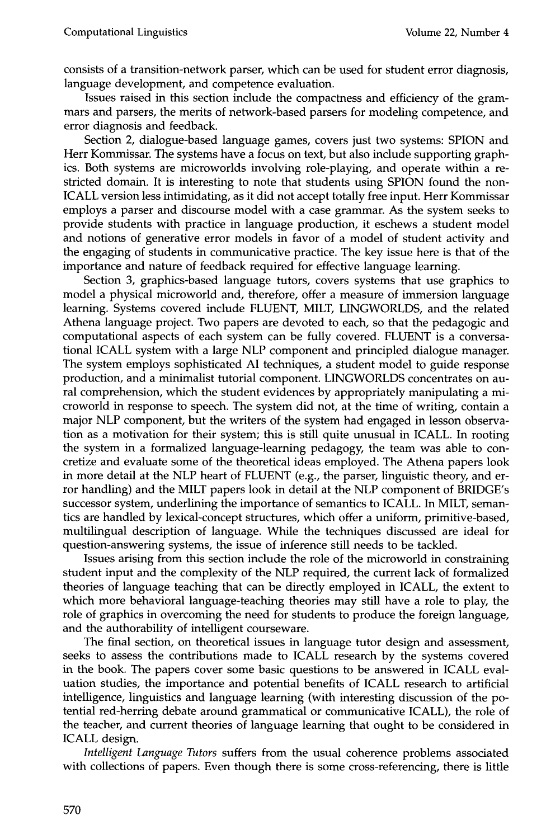consists of a transition-network parser, which can be used for student error diagnosis, language development, and competence evaluation.

Issues raised in this section include the compactness and efficiency of the grammars and parsers, the merits of network-based parsers for modeling competence, and error diagnosis and feedback.

Section 2, dialogue-based language games, covers just two systems: SPION and Herr Kommissar. The systems have a focus on text, but also include supporting graphics. Both systems are microworlds involving role-playing, and operate within a restricted domain. It is interesting to note that students using SPION found the non-ICALL version less intimidating, as it did not accept totally free input. Herr Kommissar employs a parser and discourse model with a case grammar. As the system seeks to provide students with practice in language production, it eschews a student model and notions of generative error models in favor of a model of student activity and the engaging of students in communicative practice. The key issue here is that of the importance and nature of feedback required for effective language learning.

Section 3, graphics-based language tutors, covers systems that use graphics to model a physical microworld and, therefore, offer a measure of immersion language learning. Systems covered include FLUENT, MILT, LINGWORLDS, and the related Athena language project. Two papers are devoted to each, so that the pedagogic and computational aspects of each system can be fully covered. FLUENT is a conversational ICALL system with a large NLP component and principled dialogue manager. The system employs sophisticated AI techniques, a student model to guide response production, and a minimalist tutorial component. LINGWORLDS concentrates on aural comprehension, which the student evidences by appropriately manipulating a microworld in response to speech. The system did not, at the time of writing, contain a major NLP component, but the writers of the system had engaged in lesson observation as a motivation for their system; this is still quite unusual in ICALL. In rooting the system in a formalized language-learning pedagogy, the team was able to concretize and evaluate some of the theoretical ideas employed. The Athena papers look in more detail at the NLP heart of FLUENT (e.g., the parser, linguistic theory, and error handling) and the MILT papers look in detail at the NLP component of BRIDGE's successor system, underlining the importance of semantics to ICALL. In MILT, semantics are handled by lexical-concept structures, which offer a uniform, primitive-based, multilingual description of language. While the techniques discussed are ideal for question-answering systems, the issue of inference still needs to be tackled.

Issues arising from this section include the role of the microworld in constraining student input and the complexity of the NLP required, the current lack of formalized theories of language teaching that can be directly employed in ICALL, the extent to which more behavioral language-teaching theories may still have a role to play, the role of graphics in overcoming the need for students to produce the foreign language, and the authorability of intelligent courseware.

The final section, on theoretical issues in language tutor design and assessment, seeks to assess the contributions made to ICALL research by the systems covered in the book. The papers cover some basic questions to be answered in ICALL evaluation studies, the importance and potential benefits of ICALL research to artificial intelligence, linguistics and language learning (with interesting discussion of the potential red-herring debate around grammatical or communicative ICALL), the role of the teacher, and current theories of language learning that ought to be considered in ICALL design.

*Intelligent Language Tutors* suffers from the usual coherence problems associated with collections of papers. Even though there is some cross-referencing, there is little